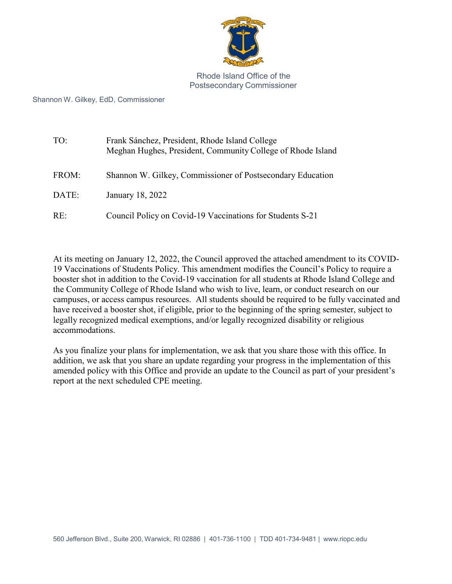

Rhode Island Office of the Postsecondary Commissioner

Shannon W. Gilkey, EdD, Commissioner

| TO:   | Frank Sánchez, President, Rhode Island College<br>Meghan Hughes, President, Community College of Rhode Island |
|-------|---------------------------------------------------------------------------------------------------------------|
| FROM: | Shannon W. Gilkey, Commissioner of Postsecondary Education                                                    |
| DATE: | January 18, 2022                                                                                              |
| RE:   | Council Policy on Covid-19 Vaccinations for Students S-21                                                     |

At its meeting on January 12, 2022, the Council approved the attached amendment to its COVID-19 Vaccinations of Students Policy. This amendment modifies the Council's Policy to require a booster shot in addition to the Covid-19 vaccination for all students at Rhode Island College and the Community College of Rhode Island who wish to live, learn, or conduct research on our campuses, or access campus resources. All students should be required to be fully vaccinated and have received a booster shot, if eligible, prior to the beginning of the spring semester, subject to legally recognized medical exemptions, and/or legally recognized disability or religious accommodations.

As you finalize your plans for implementation, we ask that you share those with this office. In addition, we ask that you share an update regarding your progress in the implementation of this amended policy with this Office and provide an update to the Council as part of your president's report at the next scheduled CPE meeting.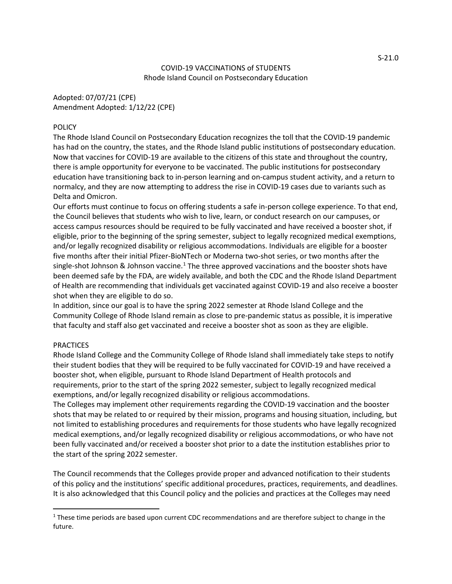## COVID-19 VACCINATIONS of STUDENTS Rhode Island Council on Postsecondary Education

Adopted: 07/07/21 (CPE) Amendment Adopted: 1/12/22 (CPE)

## **POLICY**

The Rhode Island Council on Postsecondary Education recognizes the toll that the COVID-19 pandemic has had on the country, the states, and the Rhode Island public institutions of postsecondary education. Now that vaccines for COVID-19 are available to the citizens of this state and throughout the country, there is ample opportunity for everyone to be vaccinated. The public institutions for postsecondary education have transitioning back to in-person learning and on-campus student activity, and a return to normalcy, and they are now attempting to address the rise in COVID-19 cases due to variants such as Delta and Omicron.

Our efforts must continue to focus on offering students a safe in-person college experience. To that end, the Council believes that students who wish to live, learn, or conduct research on our campuses, or access campus resources should be required to be fully vaccinated and have received a booster shot, if eligible, prior to the beginning of the spring semester, subject to legally recognized medical exemptions, and/or legally recognized disability or religious accommodations. Individuals are eligible for a booster five months after their initial Pfizer-BioNTech or Moderna two-shot series, or two months after the single-shot Johnson & Johnson vaccine.<sup>[1](#page-1-0)</sup> The three approved vaccinations and the booster shots have been deemed safe by the FDA, are widely available, and both the CDC and the Rhode Island Department of Health are recommending that individuals get vaccinated against COVID-19 and also receive a booster shot when they are eligible to do so.

In addition, since our goal is to have the spring 2022 semester at Rhode Island College and the Community College of Rhode Island remain as close to pre-pandemic status as possible, it is imperative that faculty and staff also get vaccinated and receive a booster shot as soon as they are eligible.

## **PRACTICES**

Rhode Island College and the Community College of Rhode Island shall immediately take steps to notify their student bodies that they will be required to be fully vaccinated for COVID-19 and have received a booster shot, when eligible, pursuant to Rhode Island Department of Health protocols and requirements, prior to the start of the spring 2022 semester, subject to legally recognized medical exemptions, and/or legally recognized disability or religious accommodations.

The Colleges may implement other requirements regarding the COVID-19 vaccination and the booster shots that may be related to or required by their mission, programs and housing situation, including, but not limited to establishing procedures and requirements for those students who have legally recognized medical exemptions, and/or legally recognized disability or religious accommodations, or who have not been fully vaccinated and/or received a booster shot prior to a date the institution establishes prior to the start of the spring 2022 semester.

The Council recommends that the Colleges provide proper and advanced notification to their students of this policy and the institutions' specific additional procedures, practices, requirements, and deadlines. It is also acknowledged that this Council policy and the policies and practices at the Colleges may need

<span id="page-1-0"></span><sup>&</sup>lt;sup>1</sup> These time periods are based upon current CDC recommendations and are therefore subject to change in the future.